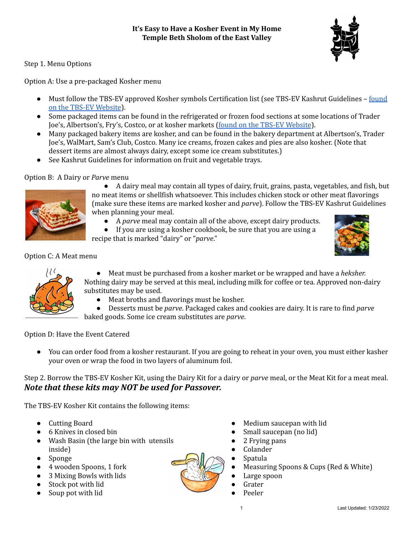Step 1. Menu Options

Option A: Use a pre-packaged Kosher menu

- Must follow the TBS-EV approved Kosher symbols Certification list (see TBS-EV Kashrut Guidelines [found](https://tbsev.org/education/kashrut/) on the TBS-EV [Website](https://tbsev.org/education/kashrut/)).
- Some packaged items can be found in the refrigerated or frozen food sections at some locations of Trader Joe's, Albertson's, Fry's, Costco, or at kosher markets (found on the TBS-EV [Website](https://tbsev.org/education/kashrut/)).
- Many packaged bakery items are kosher, and can be found in the bakery department at Albertson's, Trader Joe's, WalMart, Sam's Club, Costco. Many ice creams, frozen cakes and pies are also kosher. (Note that dessert items are almost always dairy, except some ice cream substitutes.)
- See Kashrut Guidelines for information on fruit and vegetable trays.

## Option B: A Dairy or *Parve* menu



● A dairy meal may contain all types of dairy, fruit, grains, pasta, vegetables, and fish, but no meat items or shellfish whatsoever. This includes chicken stock or other meat flavorings (make sure these items are marked kosher and *parve*). Follow the TBS-EV Kashrut Guidelines when planning your meal.

- A *parve* meal may contain all of the above, except dairy products.
- If you are using a kosher cookbook, be sure that you are using a

recipe that is marked "dairy" or "*parve*."



Option C: A Meat menu



● Meat must be purchased from a kosher market or be wrapped and have a *heksher.* Nothing dairy may be served at this meal, including milk for coffee or tea. Approved non-dairy substitutes may be used.

- Meat broths and flavorings must be kosher.
- Desserts must be *parve*. Packaged cakes and cookies are dairy. It is rare to find *parve* baked goods. Some ice cream substitutes are *parve*.

Option D: Have the Event Catered

You can order food from a kosher restaurant. If you are going to reheat in your oven, you must either kasher your oven or wrap the food in two layers of aluminum foil.

Step 2. Borrow the TBS-EV Kosher Kit, using the Dairy Kit for a dairy or *parve* meal, or the Meat Kit for a meat meal. *Note that these kits may NOT be used for Passover.*

The TBS-EV Kosher Kit contains the following items:

- Cutting Board
- 6 Knives in closed bin
- Wash Basin (the large bin with utensils inside)
- Sponge
- 4 wooden Spoons, 1 fork
- 3 Mixing Bowls with lids
- Stock pot with lid
- Soup pot with lid



- Medium saucepan with lid
- Small saucepan (no lid)
- 2 Frying pans
- Colander
- Spatula
- Measuring Spoons & Cups (Red & White)
- Large spoon
- Grater
- Peeler